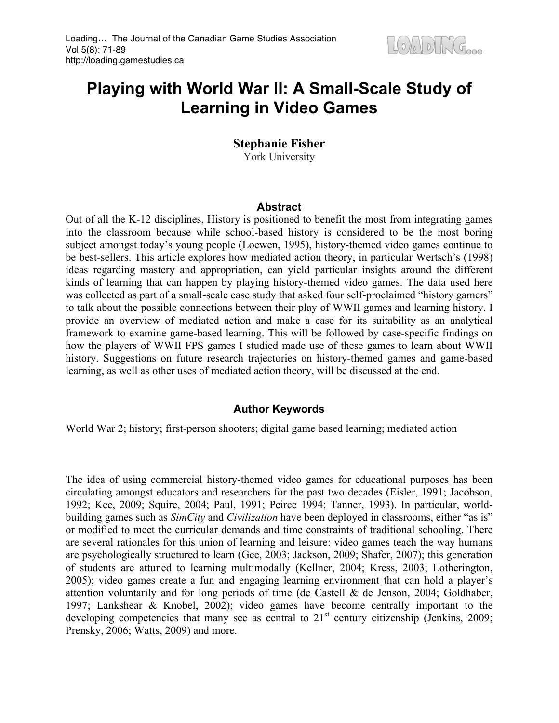# **Playing with World War II: A Small-Scale Study of Learning in Video Games**

# **Stephanie Fisher**

York University

## **Abstract**

Out of all the K-12 disciplines, History is positioned to benefit the most from integrating games into the classroom because while school-based history is considered to be the most boring subject amongst today's young people (Loewen, 1995), history-themed video games continue to be best-sellers. This article explores how mediated action theory, in particular Wertsch's (1998) ideas regarding mastery and appropriation, can yield particular insights around the different kinds of learning that can happen by playing history-themed video games. The data used here was collected as part of a small-scale case study that asked four self-proclaimed "history gamers" to talk about the possible connections between their play of WWII games and learning history. I provide an overview of mediated action and make a case for its suitability as an analytical framework to examine game-based learning. This will be followed by case-specific findings on how the players of WWII FPS games I studied made use of these games to learn about WWII history. Suggestions on future research trajectories on history-themed games and game-based learning, as well as other uses of mediated action theory, will be discussed at the end.

# **Author Keywords**

World War 2; history; first-person shooters; digital game based learning; mediated action

The idea of using commercial history-themed video games for educational purposes has been circulating amongst educators and researchers for the past two decades (Eisler, 1991; Jacobson, 1992; Kee, 2009; Squire, 2004; Paul, 1991; Peirce 1994; Tanner, 1993). In particular, worldbuilding games such as *SimCity* and *Civilization* have been deployed in classrooms, either "as is" or modified to meet the curricular demands and time constraints of traditional schooling. There are several rationales for this union of learning and leisure: video games teach the way humans are psychologically structured to learn (Gee, 2003; Jackson, 2009; Shafer, 2007); this generation of students are attuned to learning multimodally (Kellner, 2004; Kress, 2003; Lotherington, 2005); video games create a fun and engaging learning environment that can hold a player's attention voluntarily and for long periods of time (de Castell & de Jenson, 2004; Goldhaber, 1997; Lankshear & Knobel, 2002); video games have become centrally important to the developing competencies that many see as central to  $21<sup>st</sup>$  century citizenship (Jenkins, 2009; Prensky, 2006; Watts, 2009) and more.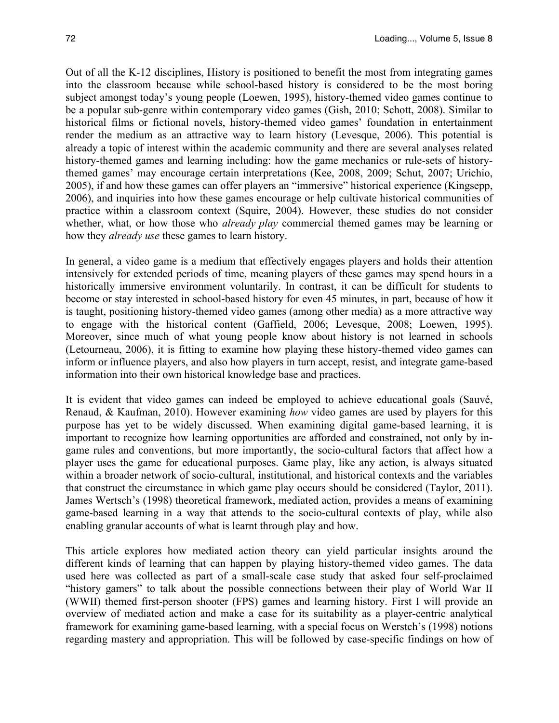Out of all the K-12 disciplines, History is positioned to benefit the most from integrating games into the classroom because while school-based history is considered to be the most boring subject amongst today's young people (Loewen, 1995), history-themed video games continue to be a popular sub-genre within contemporary video games (Gish, 2010; Schott, 2008). Similar to historical films or fictional novels, history-themed video games' foundation in entertainment render the medium as an attractive way to learn history (Levesque, 2006). This potential is already a topic of interest within the academic community and there are several analyses related history-themed games and learning including: how the game mechanics or rule-sets of historythemed games' may encourage certain interpretations (Kee, 2008, 2009; Schut, 2007; Urichio, 2005), if and how these games can offer players an "immersive" historical experience (Kingsepp, 2006), and inquiries into how these games encourage or help cultivate historical communities of practice within a classroom context (Squire, 2004). However, these studies do not consider whether, what, or how those who *already play* commercial themed games may be learning or how they *already use* these games to learn history.

In general, a video game is a medium that effectively engages players and holds their attention intensively for extended periods of time, meaning players of these games may spend hours in a historically immersive environment voluntarily. In contrast, it can be difficult for students to become or stay interested in school-based history for even 45 minutes, in part, because of how it is taught, positioning history-themed video games (among other media) as a more attractive way to engage with the historical content (Gaffield, 2006; Levesque, 2008; Loewen, 1995). Moreover, since much of what young people know about history is not learned in schools (Letourneau, 2006), it is fitting to examine how playing these history-themed video games can inform or influence players, and also how players in turn accept, resist, and integrate game-based information into their own historical knowledge base and practices.

It is evident that video games can indeed be employed to achieve educational goals (Sauvé, Renaud, & Kaufman, 2010). However examining *how* video games are used by players for this purpose has yet to be widely discussed. When examining digital game-based learning, it is important to recognize how learning opportunities are afforded and constrained, not only by ingame rules and conventions, but more importantly, the socio-cultural factors that affect how a player uses the game for educational purposes. Game play, like any action, is always situated within a broader network of socio-cultural, institutional, and historical contexts and the variables that construct the circumstance in which game play occurs should be considered (Taylor, 2011). James Wertsch's (1998) theoretical framework, mediated action, provides a means of examining game-based learning in a way that attends to the socio-cultural contexts of play, while also enabling granular accounts of what is learnt through play and how.

This article explores how mediated action theory can yield particular insights around the different kinds of learning that can happen by playing history-themed video games. The data used here was collected as part of a small-scale case study that asked four self-proclaimed "history gamers" to talk about the possible connections between their play of World War II (WWII) themed first-person shooter (FPS) games and learning history. First I will provide an overview of mediated action and make a case for its suitability as a player-centric analytical framework for examining game-based learning, with a special focus on Werstch's (1998) notions regarding mastery and appropriation. This will be followed by case-specific findings on how of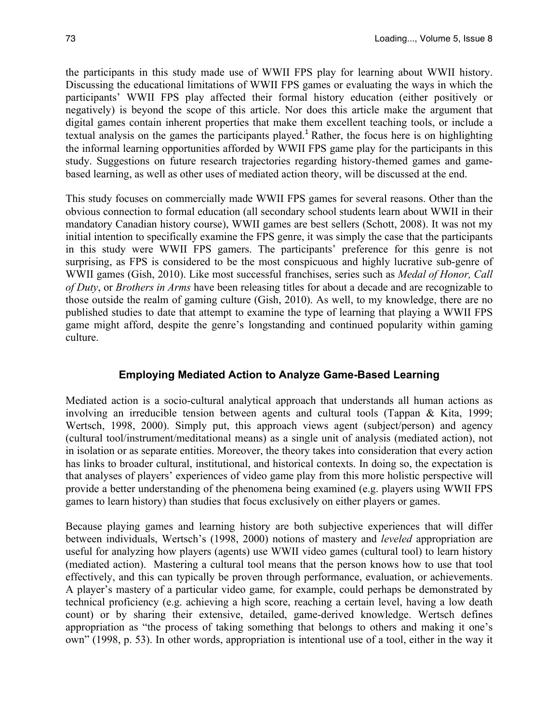the participants in this study made use of WWII FPS play for learning about WWII history. Discussing the educational limitations of WWII FPS games or evaluating the ways in which the participants' WWII FPS play affected their formal history education (either positively or negatively) is beyond the scope of this article. Nor does this article make the argument that digital games contain inherent properties that make them excellent teaching tools, or include a textual analysis on the games the participants played.<sup>1</sup> Rather, the focus here is on highlighting the informal learning opportunities afforded by WWII FPS game play for the participants in this study. Suggestions on future research trajectories regarding history-themed games and gamebased learning, as well as other uses of mediated action theory, will be discussed at the end.

This study focuses on commercially made WWII FPS games for several reasons. Other than the obvious connection to formal education (all secondary school students learn about WWII in their mandatory Canadian history course), WWII games are best sellers (Schott, 2008). It was not my initial intention to specifically examine the FPS genre, it was simply the case that the participants in this study were WWII FPS gamers. The participants' preference for this genre is not surprising, as FPS is considered to be the most conspicuous and highly lucrative sub-genre of WWII games (Gish, 2010). Like most successful franchises, series such as *Medal of Honor, Call of Duty*, or *Brothers in Arms* have been releasing titles for about a decade and are recognizable to those outside the realm of gaming culture (Gish, 2010). As well, to my knowledge, there are no published studies to date that attempt to examine the type of learning that playing a WWII FPS game might afford, despite the genre's longstanding and continued popularity within gaming culture.

#### **Employing Mediated Action to Analyze Game-Based Learning**

Mediated action is a socio-cultural analytical approach that understands all human actions as involving an irreducible tension between agents and cultural tools (Tappan & Kita, 1999; Wertsch, 1998, 2000). Simply put, this approach views agent (subject/person) and agency (cultural tool/instrument/meditational means) as a single unit of analysis (mediated action), not in isolation or as separate entities. Moreover, the theory takes into consideration that every action has links to broader cultural, institutional, and historical contexts. In doing so, the expectation is that analyses of players' experiences of video game play from this more holistic perspective will provide a better understanding of the phenomena being examined (e.g. players using WWII FPS games to learn history) than studies that focus exclusively on either players or games.

Because playing games and learning history are both subjective experiences that will differ between individuals, Wertsch's (1998, 2000) notions of mastery and *leveled* appropriation are useful for analyzing how players (agents) use WWII video games (cultural tool) to learn history (mediated action). Mastering a cultural tool means that the person knows how to use that tool effectively, and this can typically be proven through performance, evaluation, or achievements. A player's mastery of a particular video game*,* for example, could perhaps be demonstrated by technical proficiency (e.g. achieving a high score, reaching a certain level, having a low death count) or by sharing their extensive, detailed, game-derived knowledge. Wertsch defines appropriation as "the process of taking something that belongs to others and making it one's own" (1998, p. 53). In other words, appropriation is intentional use of a tool, either in the way it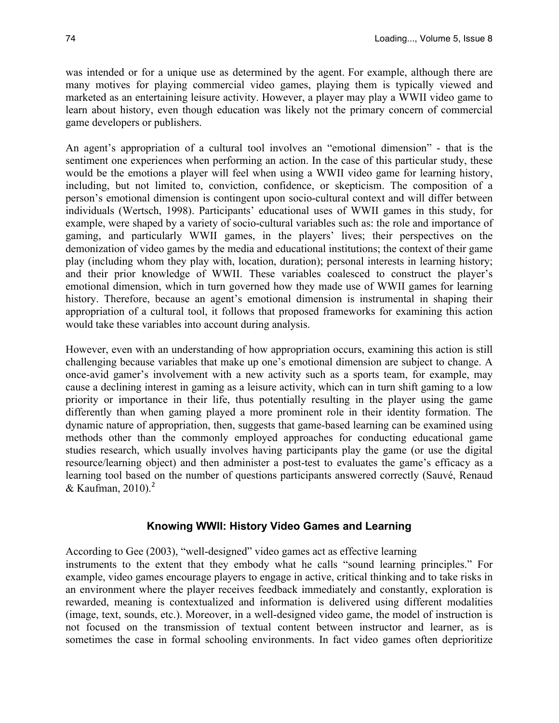was intended or for a unique use as determined by the agent. For example, although there are many motives for playing commercial video games, playing them is typically viewed and marketed as an entertaining leisure activity. However, a player may play a WWII video game to learn about history, even though education was likely not the primary concern of commercial game developers or publishers.

An agent's appropriation of a cultural tool involves an "emotional dimension" - that is the sentiment one experiences when performing an action. In the case of this particular study, these would be the emotions a player will feel when using a WWII video game for learning history, including, but not limited to, conviction, confidence, or skepticism. The composition of a person's emotional dimension is contingent upon socio-cultural context and will differ between individuals (Wertsch, 1998). Participants' educational uses of WWII games in this study, for example, were shaped by a variety of socio-cultural variables such as: the role and importance of gaming, and particularly WWII games, in the players' lives; their perspectives on the demonization of video games by the media and educational institutions; the context of their game play (including whom they play with, location, duration); personal interests in learning history; and their prior knowledge of WWII. These variables coalesced to construct the player's emotional dimension, which in turn governed how they made use of WWII games for learning history. Therefore, because an agent's emotional dimension is instrumental in shaping their appropriation of a cultural tool, it follows that proposed frameworks for examining this action would take these variables into account during analysis.

However, even with an understanding of how appropriation occurs, examining this action is still challenging because variables that make up one's emotional dimension are subject to change. A once-avid gamer's involvement with a new activity such as a sports team, for example, may cause a declining interest in gaming as a leisure activity, which can in turn shift gaming to a low priority or importance in their life, thus potentially resulting in the player using the game differently than when gaming played a more prominent role in their identity formation. The dynamic nature of appropriation, then, suggests that game-based learning can be examined using methods other than the commonly employed approaches for conducting educational game studies research, which usually involves having participants play the game (or use the digital resource/learning object) and then administer a post-test to evaluates the game's efficacy as a learning tool based on the number of questions participants answered correctly (Sauvé, Renaud & Kaufman,  $2010$ .<sup>2</sup>

# **Knowing WWII: History Video Games and Learning**

According to Gee (2003), "well-designed" video games act as effective learning instruments to the extent that they embody what he calls "sound learning principles." For example, video games encourage players to engage in active, critical thinking and to take risks in an environment where the player receives feedback immediately and constantly, exploration is rewarded, meaning is contextualized and information is delivered using different modalities (image, text, sounds, etc.). Moreover, in a well-designed video game, the model of instruction is not focused on the transmission of textual content between instructor and learner, as is sometimes the case in formal schooling environments. In fact video games often deprioritize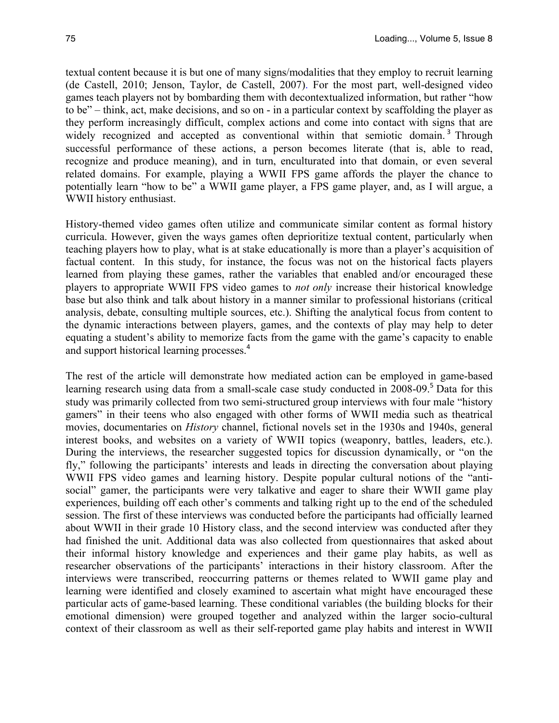textual content because it is but one of many signs/modalities that they employ to recruit learning (de Castell, 2010; Jenson, Taylor, de Castell, 2007). For the most part, well-designed video games teach players not by bombarding them with decontextualized information, but rather "how to be" – think, act, make decisions, and so on - in a particular context by scaffolding the player as they perform increasingly difficult, complex actions and come into contact with signs that are widely recognized and accepted as conventional within that semiotic domain.<sup>3</sup> Through successful performance of these actions, a person becomes literate (that is, able to read, recognize and produce meaning), and in turn, enculturated into that domain, or even several related domains. For example, playing a WWII FPS game affords the player the chance to potentially learn "how to be" a WWII game player, a FPS game player, and, as I will argue, a WWII history enthusiast.

History-themed video games often utilize and communicate similar content as formal history curricula. However, given the ways games often deprioritize textual content, particularly when teaching players how to play, what is at stake educationally is more than a player's acquisition of factual content. In this study, for instance, the focus was not on the historical facts players learned from playing these games, rather the variables that enabled and/or encouraged these players to appropriate WWII FPS video games to *not only* increase their historical knowledge base but also think and talk about history in a manner similar to professional historians (critical analysis, debate, consulting multiple sources, etc.). Shifting the analytical focus from content to the dynamic interactions between players, games, and the contexts of play may help to deter equating a student's ability to memorize facts from the game with the game's capacity to enable and support historical learning processes.<sup>4</sup>

The rest of the article will demonstrate how mediated action can be employed in game-based learning research using data from a small-scale case study conducted in 2008-09.<sup>5</sup> Data for this study was primarily collected from two semi-structured group interviews with four male "history gamers" in their teens who also engaged with other forms of WWII media such as theatrical movies, documentaries on *History* channel, fictional novels set in the 1930s and 1940s, general interest books, and websites on a variety of WWII topics (weaponry, battles, leaders, etc.). During the interviews, the researcher suggested topics for discussion dynamically, or "on the fly," following the participants' interests and leads in directing the conversation about playing WWII FPS video games and learning history. Despite popular cultural notions of the "antisocial" gamer, the participants were very talkative and eager to share their WWII game play experiences, building off each other's comments and talking right up to the end of the scheduled session. The first of these interviews was conducted before the participants had officially learned about WWII in their grade 10 History class, and the second interview was conducted after they had finished the unit. Additional data was also collected from questionnaires that asked about their informal history knowledge and experiences and their game play habits, as well as researcher observations of the participants' interactions in their history classroom. After the interviews were transcribed, reoccurring patterns or themes related to WWII game play and learning were identified and closely examined to ascertain what might have encouraged these particular acts of game-based learning. These conditional variables (the building blocks for their emotional dimension) were grouped together and analyzed within the larger socio-cultural context of their classroom as well as their self-reported game play habits and interest in WWII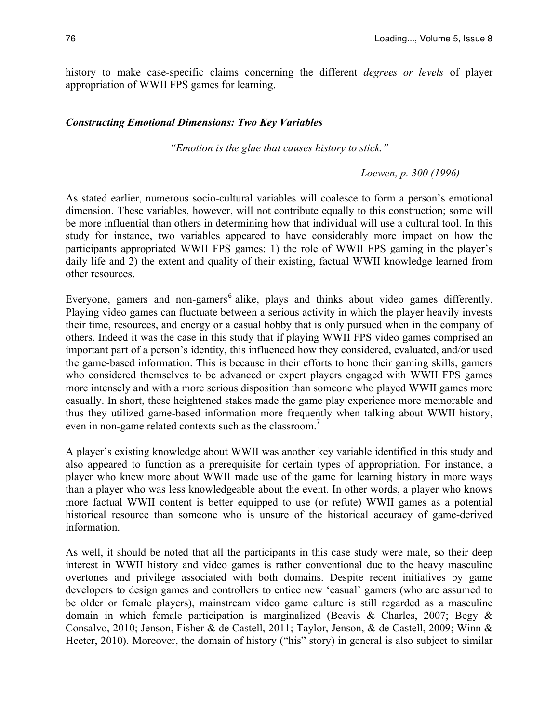history to make case-specific claims concerning the different *degrees or levels* of player appropriation of WWII FPS games for learning.

#### *Constructing Emotional Dimensions: Two Key Variables*

*"Emotion is the glue that causes history to stick."*

*Loewen, p. 300 (1996)*

As stated earlier, numerous socio-cultural variables will coalesce to form a person's emotional dimension. These variables, however, will not contribute equally to this construction; some will be more influential than others in determining how that individual will use a cultural tool. In this study for instance, two variables appeared to have considerably more impact on how the participants appropriated WWII FPS games: 1) the role of WWII FPS gaming in the player's daily life and 2) the extent and quality of their existing, factual WWII knowledge learned from other resources.

Everyone, gamers and non-gamers<sup>6</sup> alike, plays and thinks about video games differently. Playing video games can fluctuate between a serious activity in which the player heavily invests their time, resources, and energy or a casual hobby that is only pursued when in the company of others. Indeed it was the case in this study that if playing WWII FPS video games comprised an important part of a person's identity, this influenced how they considered, evaluated, and/or used the game-based information. This is because in their efforts to hone their gaming skills, gamers who considered themselves to be advanced or expert players engaged with WWII FPS games more intensely and with a more serious disposition than someone who played WWII games more casually. In short, these heightened stakes made the game play experience more memorable and thus they utilized game-based information more frequently when talking about WWII history, even in non-game related contexts such as the classroom.<sup>7</sup>

A player's existing knowledge about WWII was another key variable identified in this study and also appeared to function as a prerequisite for certain types of appropriation. For instance, a player who knew more about WWII made use of the game for learning history in more ways than a player who was less knowledgeable about the event. In other words, a player who knows more factual WWII content is better equipped to use (or refute) WWII games as a potential historical resource than someone who is unsure of the historical accuracy of game-derived information.

As well, it should be noted that all the participants in this case study were male, so their deep interest in WWII history and video games is rather conventional due to the heavy masculine overtones and privilege associated with both domains. Despite recent initiatives by game developers to design games and controllers to entice new 'casual' gamers (who are assumed to be older or female players), mainstream video game culture is still regarded as a masculine domain in which female participation is marginalized (Beavis & Charles, 2007; Begy & Consalvo, 2010; Jenson, Fisher & de Castell, 2011; Taylor, Jenson, & de Castell, 2009; Winn & Heeter, 2010). Moreover, the domain of history ("his" story) in general is also subject to similar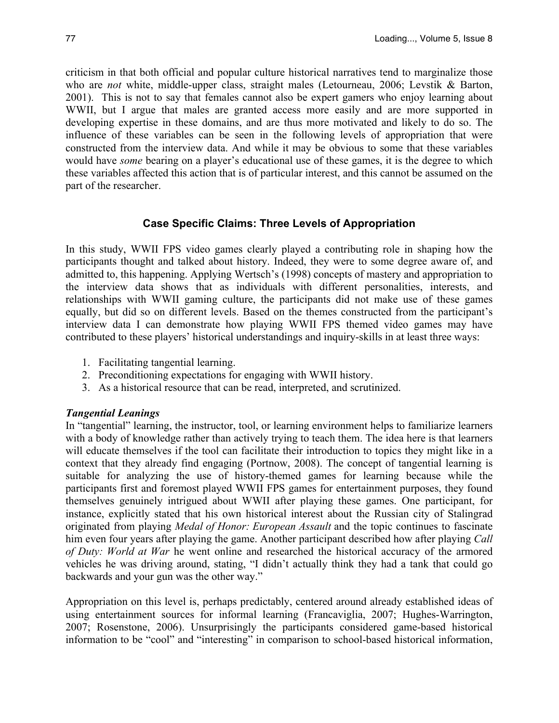criticism in that both official and popular culture historical narratives tend to marginalize those who are *not* white, middle-upper class, straight males (Letourneau, 2006; Levstik & Barton, 2001). This is not to say that females cannot also be expert gamers who enjoy learning about WWII, but I argue that males are granted access more easily and are more supported in developing expertise in these domains, and are thus more motivated and likely to do so. The influence of these variables can be seen in the following levels of appropriation that were constructed from the interview data. And while it may be obvious to some that these variables would have *some* bearing on a player's educational use of these games, it is the degree to which these variables affected this action that is of particular interest, and this cannot be assumed on the part of the researcher.

## **Case Specific Claims: Three Levels of Appropriation**

In this study, WWII FPS video games clearly played a contributing role in shaping how the participants thought and talked about history. Indeed, they were to some degree aware of, and admitted to, this happening. Applying Wertsch's (1998) concepts of mastery and appropriation to the interview data shows that as individuals with different personalities, interests, and relationships with WWII gaming culture, the participants did not make use of these games equally, but did so on different levels. Based on the themes constructed from the participant's interview data I can demonstrate how playing WWII FPS themed video games may have contributed to these players' historical understandings and inquiry-skills in at least three ways:

- 1. Facilitating tangential learning.
- 2. Preconditioning expectations for engaging with WWII history.
- 3. As a historical resource that can be read, interpreted, and scrutinized.

#### *Tangential Leanings*

In "tangential" learning, the instructor, tool, or learning environment helps to familiarize learners with a body of knowledge rather than actively trying to teach them. The idea here is that learners will educate themselves if the tool can facilitate their introduction to topics they might like in a context that they already find engaging (Portnow, 2008). The concept of tangential learning is suitable for analyzing the use of history-themed games for learning because while the participants first and foremost played WWII FPS games for entertainment purposes, they found themselves genuinely intrigued about WWII after playing these games. One participant, for instance, explicitly stated that his own historical interest about the Russian city of Stalingrad originated from playing *Medal of Honor: European Assault* and the topic continues to fascinate him even four years after playing the game. Another participant described how after playing *Call of Duty: World at War* he went online and researched the historical accuracy of the armored vehicles he was driving around, stating, "I didn't actually think they had a tank that could go backwards and your gun was the other way."

Appropriation on this level is, perhaps predictably, centered around already established ideas of using entertainment sources for informal learning (Francaviglia, 2007; Hughes-Warrington, 2007; Rosenstone, 2006). Unsurprisingly the participants considered game-based historical information to be "cool" and "interesting" in comparison to school-based historical information,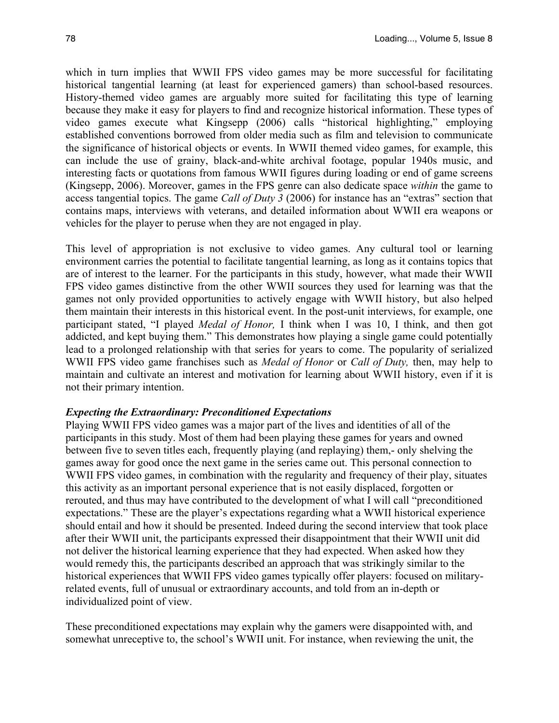which in turn implies that WWII FPS video games may be more successful for facilitating historical tangential learning (at least for experienced gamers) than school-based resources. History-themed video games are arguably more suited for facilitating this type of learning because they make it easy for players to find and recognize historical information. These types of video games execute what Kingsepp (2006) calls "historical highlighting," employing established conventions borrowed from older media such as film and television to communicate the significance of historical objects or events. In WWII themed video games, for example, this can include the use of grainy, black-and-white archival footage, popular 1940s music, and interesting facts or quotations from famous WWII figures during loading or end of game screens (Kingsepp, 2006). Moreover, games in the FPS genre can also dedicate space *within* the game to access tangential topics. The game *Call of Duty 3* (2006) for instance has an "extras" section that contains maps, interviews with veterans, and detailed information about WWII era weapons or vehicles for the player to peruse when they are not engaged in play.

This level of appropriation is not exclusive to video games. Any cultural tool or learning environment carries the potential to facilitate tangential learning, as long as it contains topics that are of interest to the learner. For the participants in this study, however, what made their WWII FPS video games distinctive from the other WWII sources they used for learning was that the games not only provided opportunities to actively engage with WWII history, but also helped them maintain their interests in this historical event. In the post-unit interviews, for example, one participant stated, "I played *Medal of Honor,* I think when I was 10, I think, and then got addicted, and kept buying them." This demonstrates how playing a single game could potentially lead to a prolonged relationship with that series for years to come. The popularity of serialized WWII FPS video game franchises such as *Medal of Honor* or *Call of Duty,* then, may help to maintain and cultivate an interest and motivation for learning about WWII history, even if it is not their primary intention.

#### *Expecting the Extraordinary: Preconditioned Expectations*

Playing WWII FPS video games was a major part of the lives and identities of all of the participants in this study. Most of them had been playing these games for years and owned between five to seven titles each, frequently playing (and replaying) them,- only shelving the games away for good once the next game in the series came out. This personal connection to WWII FPS video games, in combination with the regularity and frequency of their play, situates this activity as an important personal experience that is not easily displaced, forgotten or rerouted, and thus may have contributed to the development of what I will call "preconditioned expectations." These are the player's expectations regarding what a WWII historical experience should entail and how it should be presented. Indeed during the second interview that took place after their WWII unit, the participants expressed their disappointment that their WWII unit did not deliver the historical learning experience that they had expected. When asked how they would remedy this, the participants described an approach that was strikingly similar to the historical experiences that WWII FPS video games typically offer players: focused on militaryrelated events, full of unusual or extraordinary accounts, and told from an in-depth or individualized point of view.

These preconditioned expectations may explain why the gamers were disappointed with, and somewhat unreceptive to, the school's WWII unit. For instance, when reviewing the unit, the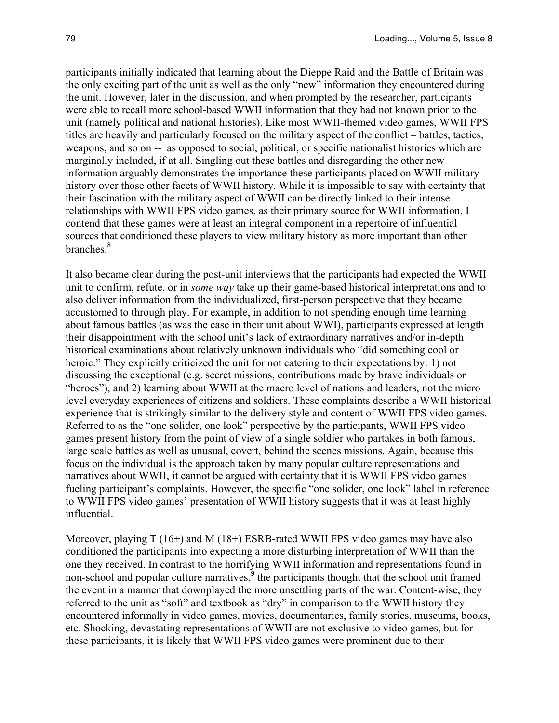participants initially indicated that learning about the Dieppe Raid and the Battle of Britain was the only exciting part of the unit as well as the only "new" information they encountered during the unit. However, later in the discussion, and when prompted by the researcher, participants were able to recall more school-based WWII information that they had not known prior to the unit (namely political and national histories). Like most WWII-themed video games, WWII FPS titles are heavily and particularly focused on the military aspect of the conflict – battles, tactics, weapons, and so on -- as opposed to social, political, or specific nationalist histories which are marginally included, if at all. Singling out these battles and disregarding the other new information arguably demonstrates the importance these participants placed on WWII military history over those other facets of WWII history. While it is impossible to say with certainty that their fascination with the military aspect of WWII can be directly linked to their intense relationships with WWII FPS video games, as their primary source for WWII information, I contend that these games were at least an integral component in a repertoire of influential sources that conditioned these players to view military history as more important than other branches<sup>8</sup>

It also became clear during the post-unit interviews that the participants had expected the WWII unit to confirm, refute, or in *some way* take up their game-based historical interpretations and to also deliver information from the individualized, first-person perspective that they became accustomed to through play. For example, in addition to not spending enough time learning about famous battles (as was the case in their unit about WWI), participants expressed at length their disappointment with the school unit's lack of extraordinary narratives and/or in-depth historical examinations about relatively unknown individuals who "did something cool or heroic." They explicitly criticized the unit for not catering to their expectations by: 1) not discussing the exceptional (e.g. secret missions, contributions made by brave individuals or "heroes"), and 2) learning about WWII at the macro level of nations and leaders, not the micro level everyday experiences of citizens and soldiers. These complaints describe a WWII historical experience that is strikingly similar to the delivery style and content of WWII FPS video games. Referred to as the "one solider, one look" perspective by the participants, WWII FPS video games present history from the point of view of a single soldier who partakes in both famous, large scale battles as well as unusual, covert, behind the scenes missions. Again, because this focus on the individual is the approach taken by many popular culture representations and narratives about WWII, it cannot be argued with certainty that it is WWII FPS video games fueling participant's complaints. However, the specific "one solider, one look" label in reference to WWII FPS video games' presentation of WWII history suggests that it was at least highly influential.

Moreover, playing  $T(16+)$  and M (18+) ESRB-rated WWII FPS video games may have also conditioned the participants into expecting a more disturbing interpretation of WWII than the one they received. In contrast to the horrifying WWII information and representations found in non-school and popular culture narratives,  $\frac{9}{3}$  the participants thought that the school unit framed the event in a manner that downplayed the more unsettling parts of the war. Content-wise, they referred to the unit as "soft" and textbook as "dry" in comparison to the WWII history they encountered informally in video games, movies, documentaries, family stories, museums, books, etc. Shocking, devastating representations of WWII are not exclusive to video games, but for these participants, it is likely that WWII FPS video games were prominent due to their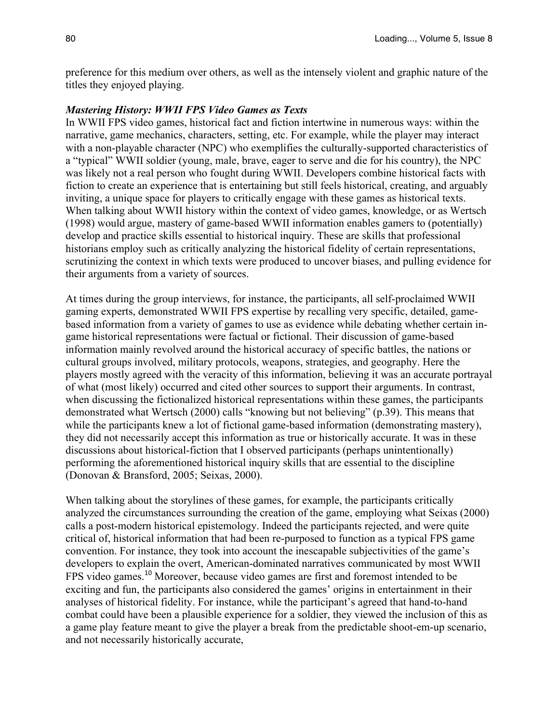preference for this medium over others, as well as the intensely violent and graphic nature of the titles they enjoyed playing.

#### *Mastering History: WWII FPS Video Games as Texts*

In WWII FPS video games, historical fact and fiction intertwine in numerous ways: within the narrative, game mechanics, characters, setting, etc. For example, while the player may interact with a non-playable character (NPC) who exemplifies the culturally-supported characteristics of a "typical" WWII soldier (young, male, brave, eager to serve and die for his country), the NPC was likely not a real person who fought during WWII. Developers combine historical facts with fiction to create an experience that is entertaining but still feels historical, creating, and arguably inviting, a unique space for players to critically engage with these games as historical texts. When talking about WWII history within the context of video games, knowledge, or as Wertsch (1998) would argue, mastery of game-based WWII information enables gamers to (potentially) develop and practice skills essential to historical inquiry. These are skills that professional historians employ such as critically analyzing the historical fidelity of certain representations, scrutinizing the context in which texts were produced to uncover biases, and pulling evidence for their arguments from a variety of sources.

At times during the group interviews, for instance, the participants, all self-proclaimed WWII gaming experts, demonstrated WWII FPS expertise by recalling very specific, detailed, gamebased information from a variety of games to use as evidence while debating whether certain ingame historical representations were factual or fictional. Their discussion of game-based information mainly revolved around the historical accuracy of specific battles, the nations or cultural groups involved, military protocols, weapons, strategies, and geography. Here the players mostly agreed with the veracity of this information, believing it was an accurate portrayal of what (most likely) occurred and cited other sources to support their arguments. In contrast, when discussing the fictionalized historical representations within these games, the participants demonstrated what Wertsch (2000) calls "knowing but not believing" (p.39). This means that while the participants knew a lot of fictional game-based information (demonstrating mastery), they did not necessarily accept this information as true or historically accurate. It was in these discussions about historical-fiction that I observed participants (perhaps unintentionally) performing the aforementioned historical inquiry skills that are essential to the discipline (Donovan & Bransford, 2005; Seixas, 2000).

When talking about the storylines of these games, for example, the participants critically analyzed the circumstances surrounding the creation of the game, employing what Seixas (2000) calls a post-modern historical epistemology. Indeed the participants rejected, and were quite critical of, historical information that had been re-purposed to function as a typical FPS game convention. For instance, they took into account the inescapable subjectivities of the game's developers to explain the overt, American-dominated narratives communicated by most WWII FPS video games.<sup>10</sup> Moreover, because video games are first and foremost intended to be exciting and fun, the participants also considered the games' origins in entertainment in their analyses of historical fidelity. For instance, while the participant's agreed that hand-to-hand combat could have been a plausible experience for a soldier, they viewed the inclusion of this as a game play feature meant to give the player a break from the predictable shoot-em-up scenario, and not necessarily historically accurate,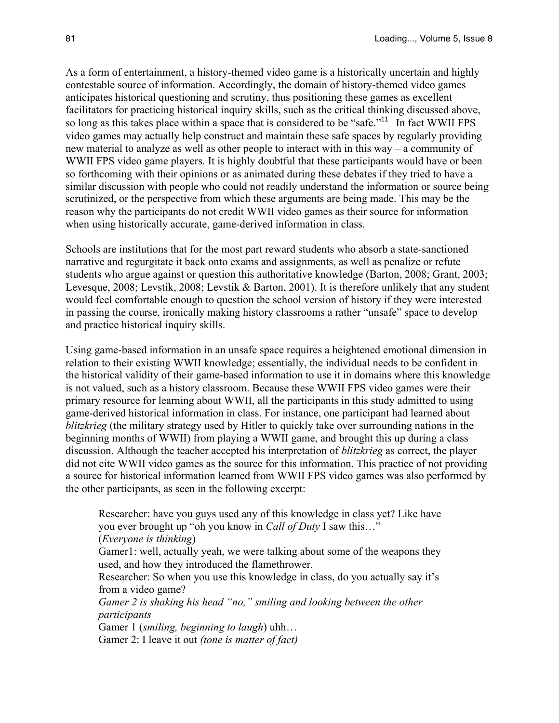As a form of entertainment, a history-themed video game is a historically uncertain and highly contestable source of information. Accordingly, the domain of history-themed video games anticipates historical questioning and scrutiny, thus positioning these games as excellent facilitators for practicing historical inquiry skills, such as the critical thinking discussed above, so long as this takes place within a space that is considered to be "safe."<sup>11</sup> In fact WWII FPS video games may actually help construct and maintain these safe spaces by regularly providing new material to analyze as well as other people to interact with in this way – a community of WWII FPS video game players. It is highly doubtful that these participants would have or been so forthcoming with their opinions or as animated during these debates if they tried to have a similar discussion with people who could not readily understand the information or source being scrutinized, or the perspective from which these arguments are being made. This may be the reason why the participants do not credit WWII video games as their source for information when using historically accurate, game-derived information in class.

Schools are institutions that for the most part reward students who absorb a state-sanctioned narrative and regurgitate it back onto exams and assignments, as well as penalize or refute students who argue against or question this authoritative knowledge (Barton, 2008; Grant, 2003; Levesque, 2008; Levstik, 2008; Levstik & Barton, 2001). It is therefore unlikely that any student would feel comfortable enough to question the school version of history if they were interested in passing the course, ironically making history classrooms a rather "unsafe" space to develop and practice historical inquiry skills.

Using game-based information in an unsafe space requires a heightened emotional dimension in relation to their existing WWII knowledge; essentially, the individual needs to be confident in the historical validity of their game-based information to use it in domains where this knowledge is not valued, such as a history classroom. Because these WWII FPS video games were their primary resource for learning about WWII, all the participants in this study admitted to using game-derived historical information in class. For instance, one participant had learned about *blitzkrieg* (the military strategy used by Hitler to quickly take over surrounding nations in the beginning months of WWII) from playing a WWII game, and brought this up during a class discussion. Although the teacher accepted his interpretation of *blitzkrieg* as correct, the player did not cite WWII video games as the source for this information. This practice of not providing a source for historical information learned from WWII FPS video games was also performed by the other participants, as seen in the following excerpt:

Researcher: have you guys used any of this knowledge in class yet? Like have you ever brought up "oh you know in *Call of Duty* I saw this…" (*Everyone is thinking*)

Gamer1: well, actually yeah, we were talking about some of the weapons they used, and how they introduced the flamethrower.

Researcher: So when you use this knowledge in class, do you actually say it's from a video game?

*Gamer 2 is shaking his head "no," smiling and looking between the other participants*

Gamer 1 (*smiling, beginning to laugh*) uhh…

Gamer 2: I leave it out *(tone is matter of fact)*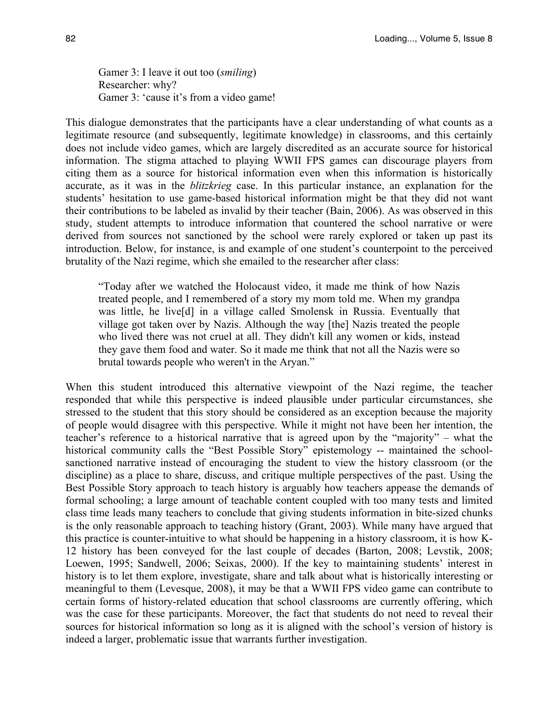Gamer 3: I leave it out too (*smiling*) Researcher: why? Gamer 3: 'cause it's from a video game!

This dialogue demonstrates that the participants have a clear understanding of what counts as a legitimate resource (and subsequently, legitimate knowledge) in classrooms, and this certainly does not include video games, which are largely discredited as an accurate source for historical information. The stigma attached to playing WWII FPS games can discourage players from citing them as a source for historical information even when this information is historically accurate, as it was in the *blitzkrieg* case. In this particular instance, an explanation for the students' hesitation to use game-based historical information might be that they did not want their contributions to be labeled as invalid by their teacher (Bain, 2006). As was observed in this study, student attempts to introduce information that countered the school narrative or were derived from sources not sanctioned by the school were rarely explored or taken up past its introduction. Below, for instance, is and example of one student's counterpoint to the perceived brutality of the Nazi regime, which she emailed to the researcher after class:

"Today after we watched the Holocaust video, it made me think of how Nazis treated people, and I remembered of a story my mom told me. When my grandpa was little, he live[d] in a village called Smolensk in Russia. Eventually that village got taken over by Nazis. Although the way [the] Nazis treated the people who lived there was not cruel at all. They didn't kill any women or kids, instead they gave them food and water. So it made me think that not all the Nazis were so brutal towards people who weren't in the Aryan."

When this student introduced this alternative viewpoint of the Nazi regime, the teacher responded that while this perspective is indeed plausible under particular circumstances, she stressed to the student that this story should be considered as an exception because the majority of people would disagree with this perspective. While it might not have been her intention, the teacher's reference to a historical narrative that is agreed upon by the "majority" – what the historical community calls the "Best Possible Story" epistemology -- maintained the schoolsanctioned narrative instead of encouraging the student to view the history classroom (or the discipline) as a place to share, discuss, and critique multiple perspectives of the past. Using the Best Possible Story approach to teach history is arguably how teachers appease the demands of formal schooling; a large amount of teachable content coupled with too many tests and limited class time leads many teachers to conclude that giving students information in bite-sized chunks is the only reasonable approach to teaching history (Grant, 2003). While many have argued that this practice is counter-intuitive to what should be happening in a history classroom, it is how K-12 history has been conveyed for the last couple of decades (Barton, 2008; Levstik, 2008; Loewen, 1995; Sandwell, 2006; Seixas, 2000). If the key to maintaining students' interest in history is to let them explore, investigate, share and talk about what is historically interesting or meaningful to them (Levesque, 2008), it may be that a WWII FPS video game can contribute to certain forms of history-related education that school classrooms are currently offering, which was the case for these participants. Moreover, the fact that students do not need to reveal their sources for historical information so long as it is aligned with the school's version of history is indeed a larger, problematic issue that warrants further investigation.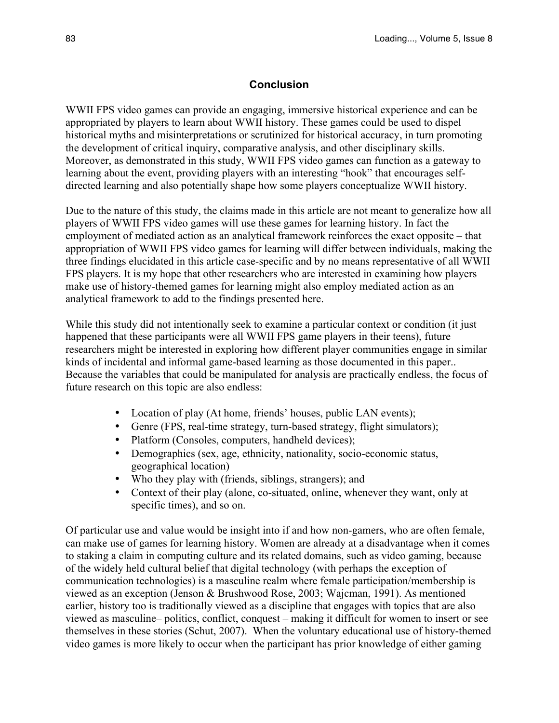# **Conclusion**

WWII FPS video games can provide an engaging, immersive historical experience and can be appropriated by players to learn about WWII history. These games could be used to dispel historical myths and misinterpretations or scrutinized for historical accuracy, in turn promoting the development of critical inquiry, comparative analysis, and other disciplinary skills. Moreover, as demonstrated in this study, WWII FPS video games can function as a gateway to learning about the event, providing players with an interesting "hook" that encourages selfdirected learning and also potentially shape how some players conceptualize WWII history.

Due to the nature of this study, the claims made in this article are not meant to generalize how all players of WWII FPS video games will use these games for learning history. In fact the employment of mediated action as an analytical framework reinforces the exact opposite – that appropriation of WWII FPS video games for learning will differ between individuals, making the three findings elucidated in this article case-specific and by no means representative of all WWII FPS players. It is my hope that other researchers who are interested in examining how players make use of history-themed games for learning might also employ mediated action as an analytical framework to add to the findings presented here.

While this study did not intentionally seek to examine a particular context or condition (it just happened that these participants were all WWII FPS game players in their teens), future researchers might be interested in exploring how different player communities engage in similar kinds of incidental and informal game-based learning as those documented in this paper.. Because the variables that could be manipulated for analysis are practically endless, the focus of future research on this topic are also endless:

- Location of play (At home, friends' houses, public LAN events);
- Genre (FPS, real-time strategy, turn-based strategy, flight simulators);
- Platform (Consoles, computers, handheld devices);
- Demographics (sex, age, ethnicity, nationality, socio-economic status, geographical location)
- Who they play with (friends, siblings, strangers); and
- Context of their play (alone, co-situated, online, whenever they want, only at specific times), and so on.

Of particular use and value would be insight into if and how non-gamers, who are often female, can make use of games for learning history. Women are already at a disadvantage when it comes to staking a claim in computing culture and its related domains, such as video gaming, because of the widely held cultural belief that digital technology (with perhaps the exception of communication technologies) is a masculine realm where female participation/membership is viewed as an exception (Jenson & Brushwood Rose, 2003; Wajcman, 1991). As mentioned earlier, history too is traditionally viewed as a discipline that engages with topics that are also viewed as masculine– politics, conflict, conquest – making it difficult for women to insert or see themselves in these stories (Schut, 2007). When the voluntary educational use of history-themed video games is more likely to occur when the participant has prior knowledge of either gaming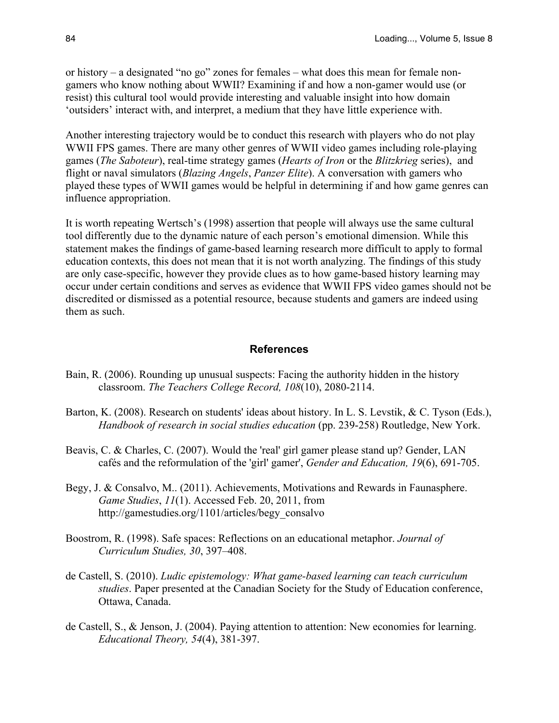or history – a designated "no go" zones for females – what does this mean for female nongamers who know nothing about WWII? Examining if and how a non-gamer would use (or resist) this cultural tool would provide interesting and valuable insight into how domain 'outsiders' interact with, and interpret, a medium that they have little experience with.

Another interesting trajectory would be to conduct this research with players who do not play WWII FPS games. There are many other genres of WWII video games including role-playing games (*The Saboteur*), real-time strategy games (*Hearts of Iron* or the *Blitzkrieg* series), and flight or naval simulators (*Blazing Angels*, *Panzer Elite*). A conversation with gamers who played these types of WWII games would be helpful in determining if and how game genres can influence appropriation.

It is worth repeating Wertsch's (1998) assertion that people will always use the same cultural tool differently due to the dynamic nature of each person's emotional dimension. While this statement makes the findings of game-based learning research more difficult to apply to formal education contexts, this does not mean that it is not worth analyzing. The findings of this study are only case-specific, however they provide clues as to how game-based history learning may occur under certain conditions and serves as evidence that WWII FPS video games should not be discredited or dismissed as a potential resource, because students and gamers are indeed using them as such.

#### **References**

- Bain, R. (2006). Rounding up unusual suspects: Facing the authority hidden in the history classroom. *The Teachers College Record, 108*(10), 2080-2114.
- Barton, K. (2008). Research on students' ideas about history. In L. S. Levstik, & C. Tyson (Eds.), *Handbook of research in social studies education* (pp. 239-258) Routledge, New York.
- Beavis, C. & Charles, C. (2007). Would the 'real' girl gamer please stand up? Gender, LAN cafés and the reformulation of the 'girl' gamer', *Gender and Education, 19*(6), 691-705.
- Begy, J. & Consalvo, M.. (2011). Achievements, Motivations and Rewards in Faunasphere. *Game Studies*, *11*(1). Accessed Feb. 20, 2011, from http://gamestudies.org/1101/articles/begy\_consalvo
- Boostrom, R. (1998). Safe spaces: Reflections on an educational metaphor. *Journal of Curriculum Studies, 30*, 397–408.
- de Castell, S. (2010). *Ludic epistemology: What game-based learning can teach curriculum studies*. Paper presented at the Canadian Society for the Study of Education conference, Ottawa, Canada.
- de Castell, S., & Jenson, J. (2004). Paying attention to attention: New economies for learning. *Educational Theory, 54*(4), 381-397.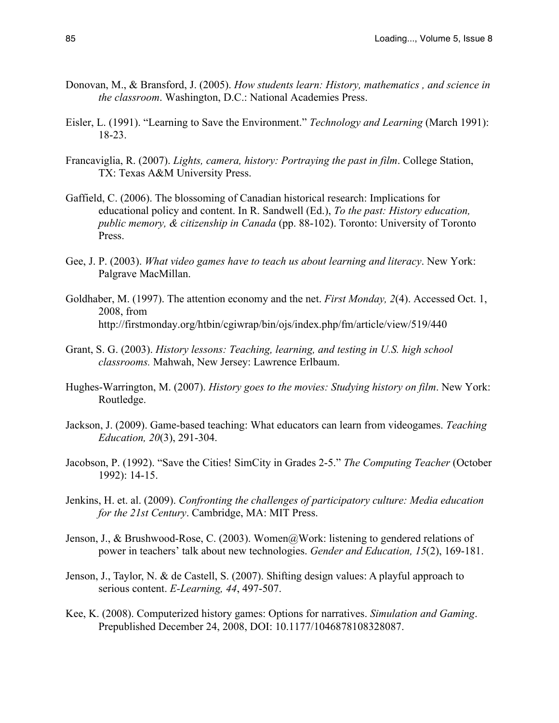- Donovan, M., & Bransford, J. (2005). *How students learn: History, mathematics , and science in the classroom*. Washington, D.C.: National Academies Press.
- Eisler, L. (1991). "Learning to Save the Environment." *Technology and Learning* (March 1991): 18-23.
- Francaviglia, R. (2007). *Lights, camera, history: Portraying the past in film*. College Station, TX: Texas A&M University Press.
- Gaffield, C. (2006). The blossoming of Canadian historical research: Implications for educational policy and content. In R. Sandwell (Ed.), *To the past: History education, public memory, & citizenship in Canada* (pp. 88-102). Toronto: University of Toronto Press.
- Gee, J. P. (2003). *What video games have to teach us about learning and literacy*. New York: Palgrave MacMillan.
- Goldhaber, M. (1997). The attention economy and the net. *First Monday, 2*(4). Accessed Oct. 1, 2008, from http://firstmonday.org/htbin/cgiwrap/bin/ojs/index.php/fm/article/view/519/440
- Grant, S. G. (2003). *History lessons: Teaching, learning, and testing in U.S. high school classrooms.* Mahwah, New Jersey: Lawrence Erlbaum.
- Hughes-Warrington, M. (2007). *History goes to the movies: Studying history on film*. New York: Routledge.
- Jackson, J. (2009). Game-based teaching: What educators can learn from videogames. *Teaching Education, 20*(3), 291-304.
- Jacobson, P. (1992). "Save the Cities! SimCity in Grades 2-5." *The Computing Teacher* (October 1992): 14-15.
- Jenkins, H. et. al. (2009). *Confronting the challenges of participatory culture: Media education for the 21st Century*. Cambridge, MA: MIT Press.
- Jenson, J., & Brushwood-Rose, C. (2003). Women@Work: listening to gendered relations of power in teachers' talk about new technologies. *Gender and Education, 15*(2), 169-181.
- Jenson, J., Taylor, N. & de Castell, S. (2007). Shifting design values: A playful approach to serious content. *E-Learning, 44*, 497-507.
- Kee, K. (2008). Computerized history games: Options for narratives. *Simulation and Gaming*. Prepublished December 24, 2008, DOI: 10.1177/1046878108328087.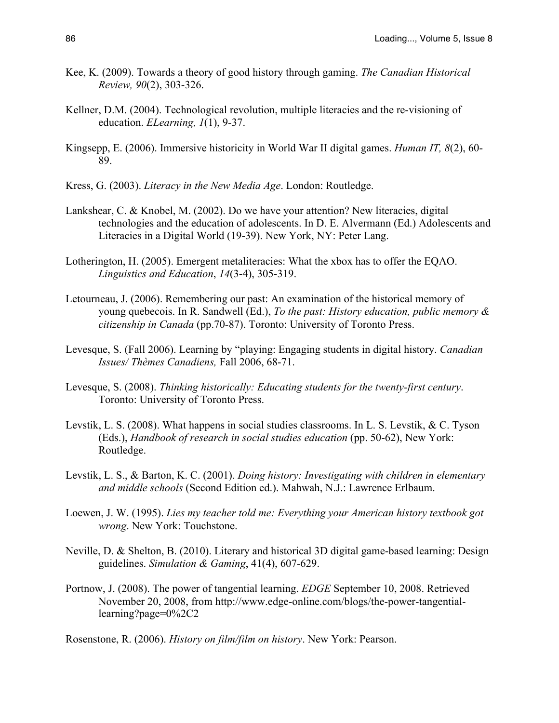- Kee, K. (2009). Towards a theory of good history through gaming. *The Canadian Historical Review, 90*(2), 303-326.
- Kellner, D.M. (2004). Technological revolution, multiple literacies and the re-visioning of education. *ELearning, 1*(1), 9-37.
- Kingsepp, E. (2006). Immersive historicity in World War II digital games. *Human IT, 8*(2), 60- 89.
- Kress, G. (2003). *Literacy in the New Media Age*. London: Routledge.
- Lankshear, C. & Knobel, M. (2002). Do we have your attention? New literacies, digital technologies and the education of adolescents. In D. E. Alvermann (Ed.) Adolescents and Literacies in a Digital World (19-39). New York, NY: Peter Lang.
- Lotherington, H. (2005). Emergent metaliteracies: What the xbox has to offer the EQAO. *Linguistics and Education*, *14*(3-4), 305-319.
- Letourneau, J. (2006). Remembering our past: An examination of the historical memory of young quebecois. In R. Sandwell (Ed.), *To the past: History education, public memory & citizenship in Canada* (pp.70-87). Toronto: University of Toronto Press.
- Levesque, S. (Fall 2006). Learning by "playing: Engaging students in digital history. *Canadian Issues/ Thèmes Canadiens,* Fall 2006, 68-71.
- Levesque, S. (2008). *Thinking historically: Educating students for the twenty-first century*. Toronto: University of Toronto Press.
- Levstik, L. S. (2008). What happens in social studies classrooms. In L. S. Levstik, & C. Tyson (Eds.), *Handbook of research in social studies education* (pp. 50-62), New York: Routledge.
- Levstik, L. S., & Barton, K. C. (2001). *Doing history: Investigating with children in elementary and middle schools* (Second Edition ed.). Mahwah, N.J.: Lawrence Erlbaum.
- Loewen, J. W. (1995). *Lies my teacher told me: Everything your American history textbook got wrong*. New York: Touchstone.
- Neville, D. & Shelton, B. (2010). Literary and historical 3D digital game-based learning: Design guidelines. *Simulation & Gaming*, 41(4), 607-629.
- Portnow, J. (2008). The power of tangential learning. *EDGE* September 10, 2008. Retrieved November 20, 2008, from http://www.edge-online.com/blogs/the-power-tangentiallearning?page=0%2C2

Rosenstone, R. (2006). *History on film/film on history*. New York: Pearson.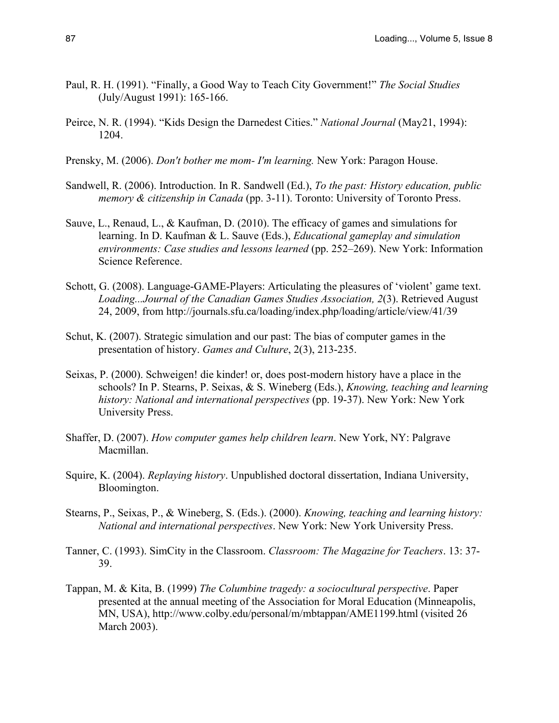- Paul, R. H. (1991). "Finally, a Good Way to Teach City Government!" *The Social Studies* (July/August 1991): 165-166.
- Peirce, N. R. (1994). "Kids Design the Darnedest Cities." *National Journal* (May21, 1994): 1204.
- Prensky, M. (2006). *Don't bother me mom- I'm learning.* New York: Paragon House.
- Sandwell, R. (2006). Introduction. In R. Sandwell (Ed.), *To the past: History education, public memory & citizenship in Canada* (pp. 3-11). Toronto: University of Toronto Press.
- Sauve, L., Renaud, L., & Kaufman, D. (2010). The efficacy of games and simulations for learning. In D. Kaufman & L. Sauve (Eds.), *Educational gameplay and simulation environments: Case studies and lessons learned* (pp. 252–269). New York: Information Science Reference.
- Schott, G. (2008). Language-GAME-Players: Articulating the pleasures of 'violent' game text. *Loading...Journal of the Canadian Games Studies Association, 2*(3). Retrieved August 24, 2009, from http://journals.sfu.ca/loading/index.php/loading/article/view/41/39
- Schut, K. (2007). Strategic simulation and our past: The bias of computer games in the presentation of history. *Games and Culture*, 2(3), 213-235.
- Seixas, P. (2000). Schweigen! die kinder! or, does post-modern history have a place in the schools? In P. Stearns, P. Seixas, & S. Wineberg (Eds.), *Knowing, teaching and learning history: National and international perspectives* (pp. 19-37). New York: New York University Press.
- Shaffer, D. (2007). *How computer games help children learn*. New York, NY: Palgrave Macmillan.
- Squire, K. (2004). *Replaying history*. Unpublished doctoral dissertation, Indiana University, Bloomington.
- Stearns, P., Seixas, P., & Wineberg, S. (Eds.). (2000). *Knowing, teaching and learning history: National and international perspectives*. New York: New York University Press.
- Tanner, C. (1993). SimCity in the Classroom. *Classroom: The Magazine for Teachers*. 13: 37- 39.
- Tappan, M. & Kita, B. (1999) *The Columbine tragedy: a sociocultural perspective*. Paper presented at the annual meeting of the Association for Moral Education (Minneapolis, MN, USA), http://www.colby.edu/personal/m/mbtappan/AME1199.html (visited 26 March 2003).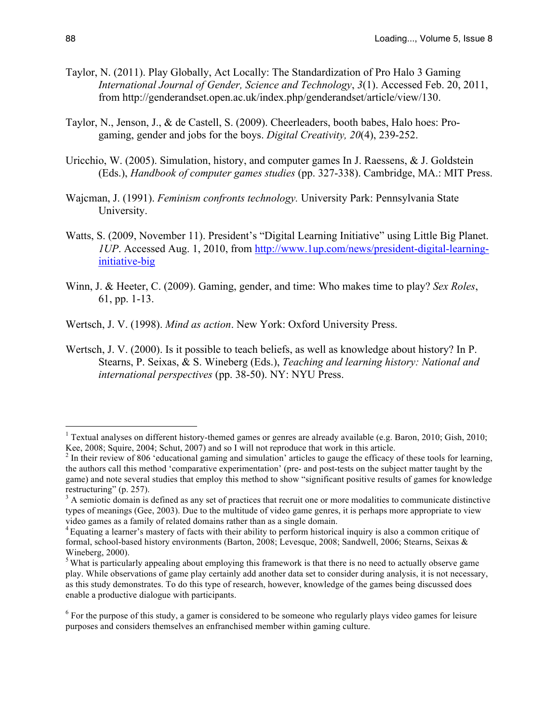- Taylor, N. (2011). Play Globally, Act Locally: The Standardization of Pro Halo 3 Gaming *International Journal of Gender, Science and Technology*, *3*(1). Accessed Feb. 20, 2011, from http://genderandset.open.ac.uk/index.php/genderandset/article/view/130.
- Taylor, N., Jenson, J., & de Castell, S. (2009). Cheerleaders, booth babes, Halo hoes: Progaming, gender and jobs for the boys. *Digital Creativity, 20*(4), 239-252.
- Uricchio, W. (2005). Simulation, history, and computer games In J. Raessens, & J. Goldstein (Eds.), *Handbook of computer games studies* (pp. 327-338). Cambridge, MA.: MIT Press.
- Wajcman, J. (1991). *Feminism confronts technology.* University Park: Pennsylvania State University.
- Watts, S. (2009, November 11). President's "Digital Learning Initiative" using Little Big Planet. *1UP*. Accessed Aug. 1, 2010, from http://www.1up.com/news/president-digital-learninginitiative-big
- Winn, J. & Heeter, C. (2009). Gaming, gender, and time: Who makes time to play? *Sex Roles*, 61, pp. 1-13.
- Wertsch, J. V. (1998). *Mind as action*. New York: Oxford University Press.
- Wertsch, J. V. (2000). Is it possible to teach beliefs, as well as knowledge about history? In P. Stearns, P. Seixas, & S. Wineberg (Eds.), *Teaching and learning history: National and international perspectives* (pp. 38-50). NY: NYU Press.

<sup>&</sup>lt;sup>1</sup> Textual analyses on different history-themed games or genres are already available (e.g. Baron, 2010; Gish, 2010; Kee, 2008; Squire, 2004; Schut, 2007) and so I will not reproduce that work in this article.

 $2$  In their review of 806 'educational gaming and simulation' articles to gauge the efficacy of these tools for learning, the authors call this method 'comparative experimentation' (pre- and post-tests on the subject matter taught by the game) and note several studies that employ this method to show "significant positive results of games for knowledge restructuring" (p. 257).

<sup>&</sup>lt;sup>3</sup> A semiotic domain is defined as any set of practices that recruit one or more modalities to communicate distinctive types of meanings (Gee, 2003). Due to the multitude of video game genres, it is perhaps more appropriate to view video games as a family of related domains rather than as a single domain.

<sup>&</sup>lt;sup>4</sup> Equating a learner's mastery of facts with their ability to perform historical inquiry is also a common critique of formal, school-based history environments (Barton, 2008; Levesque, 2008; Sandwell, 2006; Stearns, Seixas & Wineberg, 2000).

<sup>&</sup>lt;sup>5</sup> What is particularly appealing about employing this framework is that there is no need to actually observe game play. While observations of game play certainly add another data set to consider during analysis, it is not necessary, as this study demonstrates. To do this type of research, however, knowledge of the games being discussed does enable a productive dialogue with participants.

<sup>&</sup>lt;sup>6</sup> For the purpose of this study, a gamer is considered to be someone who regularly plays video games for leisure purposes and considers themselves an enfranchised member within gaming culture.